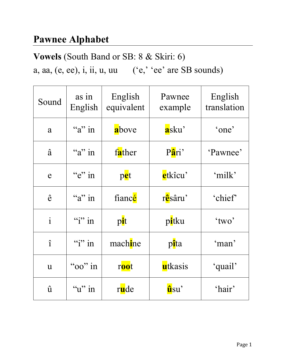# Pawnee Alphabet

### Vowels (South Band or SB: 8 & Skiri: 6)

a, aa,  $(e, ee)$ , i, ii, u, uu  $(e, 'ee'$  are SB sounds)

| Sound        | as in<br>English  | English<br>equivalent | Pawnee<br>example | English<br>translation |
|--------------|-------------------|-----------------------|-------------------|------------------------|
| a            | " $a$ " in        | above                 | asku'             | 'one'                  |
| â            | " $a$ " in        | father                | Pâri'             | 'Pawnee'               |
| e            | " $e$ " in        | pet                   | etkîcu'           | 'milk'                 |
| ê            | " $a$ " in        | fiancé                | rêsâru'           | 'chief'                |
| $\mathbf{i}$ | ``i" in           | pit                   | pitku             | 'two'                  |
| $\hat{1}$    | $\binom{1}{1}$ in | machine               | pita              | 'man'                  |
| $\mathbf{u}$ | " $00"$ in        | root                  | utkasis           | 'quail'                |
| û            | " $u$ " in        | rude                  | ûsu'              | 'hair'                 |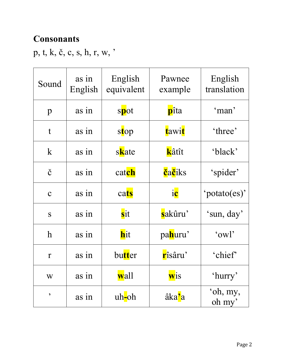## **Consonants**

 $\mathbf{p},$ t, k, č, c, s, h, r, w, '

| Sound                 | as in<br>English | English<br>equivalent | Pawnee<br>example             | English<br>translation |
|-----------------------|------------------|-----------------------|-------------------------------|------------------------|
| $\mathbf{p}$          | as in            | spot                  | pîta                          | 'man'                  |
| t                     | as in            | stop                  | tawit                         | 'three'                |
| $\mathbf{k}$          | as in            | skate                 | kâtît                         | 'black'                |
| $\check{\mathbf{c}}$  | as in            | catch                 | čačiks                        | 'spider'               |
| $\overline{C}$        | as in            | cats                  | i <mark>c</mark>              | 'potato(es)'           |
| S                     | as in            | sit                   | sakûru'                       | 'sun, day'             |
| $\hbar$               | as in            | hit                   | pahuru'                       | $\omega$ <sup>'</sup>  |
| $\mathbf{r}$          | as in            | butter                | rîsâru'                       | 'chief                 |
| W                     | as in            | wall                  | Н.<br><b>W</b> <sub>1</sub> S | 'hurry'                |
| $\blacktriangleright$ | as in            | uh-oh                 | âka <mark>'</mark> a          | 'oh, my,<br>oh my'     |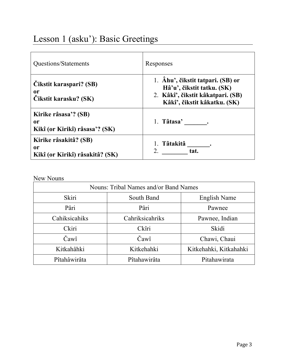### Lesson 1 (asku'): Basic Greetings

| Questions/Statements                                                      | Responses                                                                                                                            |
|---------------------------------------------------------------------------|--------------------------------------------------------------------------------------------------------------------------------------|
| Cikstit karaspari? (SB)<br>0r<br>Cikstit karasku? (SK)                    | 1. Âhu', čikstit tatpari. (SB) or<br>Hâ'u', čikstit tatku. (SK)<br>2. Kâkî', čikstit kâkatpari. (SB)<br>Kâkî', čikstit kâkatku. (SK) |
| Kirike râsasa'? (SB)<br>0r<br>Kikî (or Kirikî) râsasa'? (SK)              | 1. Tâtasa'                                                                                                                           |
| Kirike râsakitâ? (SB)<br><sub>or</sub><br>Kikî (or Kirikî) râsakitâ? (SK) | 1. Tâtakitâ<br>tat.                                                                                                                  |

New Nouns

| New Nouns                             |                 |                        |  |
|---------------------------------------|-----------------|------------------------|--|
| Nouns: Tribal Names and/or Band Names |                 |                        |  |
| Skiri                                 | South Band      | English Name           |  |
| Pâri                                  | Pâri            | Pawnee                 |  |
| Cahiksicahiks                         | Cahriksicahriks | Pawnee, Indian         |  |
| Ckiri                                 | Ckîri           | Skidi                  |  |
| Čawî                                  | Čawî            | Chawi, Chaui           |  |
| Kitkahâhki                            | Kitkehahki      | Kitkehahki, Kitkahahki |  |
| Pîtahâwirâta                          | Pîtahawirâta    | Pitahawirata           |  |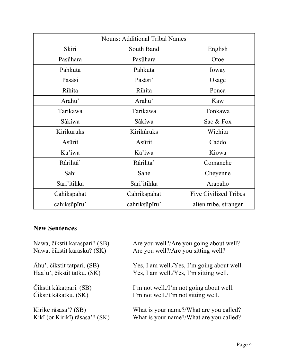| <b>Nouns: Additional Tribal Names</b> |               |                              |  |
|---------------------------------------|---------------|------------------------------|--|
| Skiri                                 | South Band    | English                      |  |
| Pasûhara                              | Pasûhara      | Otoe                         |  |
| Pahkuta                               | Pahkuta       | Ioway                        |  |
| Pasâsi                                | Pasâsi'       | Osage                        |  |
| Rîhita                                | Rîhita        | Ponca                        |  |
| Arahu'                                | Arahu'        | Kaw                          |  |
| Tarikawa                              | Tarikawa      | Tonkawa                      |  |
| Sâkîwa                                | Sâkîwa        | Sac & Fox                    |  |
| Kirikuruks                            | Kirikûruks    | Wichita                      |  |
| Asûrit                                | Asûrit        | Caddo                        |  |
| Ka'iwa                                | Ka'iwa        | Kiowa                        |  |
| Rârihtâ'                              | Rârihta'      | Comanche                     |  |
| Sahi                                  | Sahe          | Cheyenne                     |  |
| Sari'itihka                           | Sari'itihka   | Arapaho                      |  |
| Cahikspahat                           | Cahrikspahat  | <b>Five Civilized Tribes</b> |  |
| cahiksûpîru'                          | cahriksûpîru' | alien tribe, stranger        |  |

#### **New Sentences**

Nawa, čikstit karaspari? (SB) Nawa, čikstit karasku? (SK)

Âhu', čikstit tatpari. (SB) Haa'u', čikstit tatku. (SK)

Čikstit kâkatpari. (SB) Čikstit kâkatku. (SK)

Kirike râsasa'? (SB) Kikî (or Kirikî) râsasa'? (SK) Are you well?/Are you going about well? Are you well?/Are you sitting well?

Yes, I am well./Yes, I'm going about well. Yes, I am well./Yes, I'm sitting well.

I'm not well./I'm not going about well. I'm not well./I'm not sitting well.

What is your name?/What are you called? What is your name?/What are you called?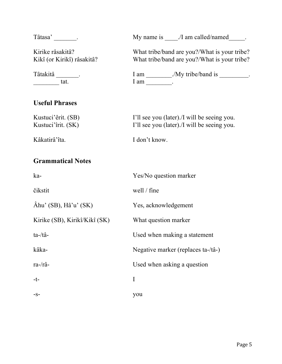Tâtasa' \_\_\_\_\_\_\_\_\_.

My name is  $\frac{1}{\sqrt{1}}$  am called/named\_\_\_\_\_.

Kirike râsakitâ? Kikî (or Kirikî) râsakitâ?

Tâtakitâ \_\_\_\_\_\_\_\_\_\_. tat.

#### **Useful Phrases**

What tribe/band are you?/What is your tribe? What tribe/band are you?/What is your tribe?

Tâtakitâ \_\_\_\_\_\_\_. I am \_\_\_\_\_\_\_\_./My tribe/band is \_\_\_\_\_\_\_\_\_.  $I$  am  $\_\_\_\_\_\_\_\_\$ .

| Kustuci'êrit. (SB) | I'll see you (later)./I will be seeing you. |
|--------------------|---------------------------------------------|
| Kustuci'îrit. (SK) | I'll see you (later)./I will be seeing you. |

I don't know.

Kâkatirâ'îta.

#### **Grammatical Notes**

| ka-                            | Yes/No question marker             |
|--------------------------------|------------------------------------|
| čikstit                        | well / fine                        |
| $\hat{A}$ hu' (SB), Hâ'u' (SK) | Yes, acknowledgement               |
| Kirike (SB), Kirikî/Kikî (SK)  | What question marker               |
| $ta-ft\hat{a}$ -               | Used when making a statement       |
| kâka-                          | Negative marker (replaces ta-/tâ-) |
| $ra$ -/ $r\hat{a}$ -           | Used when asking a question        |
| $-t-$                          | I                                  |
| $-S-$                          | you                                |